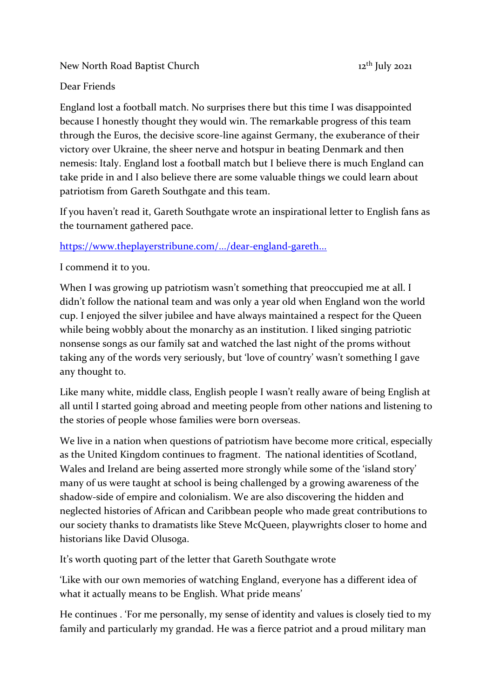New North Road Baptist Church 12<sup>th</sup> July 2021

## Dear Friends

England lost a football match. No surprises there but this time I was disappointed because I honestly thought they would win. The remarkable progress of this team through the Euros, the decisive score-line against Germany, the exuberance of their victory over Ukraine, the sheer nerve and hotspur in beating Denmark and then nemesis: Italy. England lost a football match but I believe there is much England can take pride in and I also believe there are some valuable things we could learn about patriotism from Gareth Southgate and this team.

If you haven't read it, Gareth Southgate wrote an inspirational letter to English fans as the tournament gathered pace.

## <https://www.theplayerstribune.com/.../dear-england-gareth...>

I commend it to you.

When I was growing up patriotism wasn't something that preoccupied me at all. I didn't follow the national team and was only a year old when England won the world cup. I enjoyed the silver jubilee and have always maintained a respect for the Queen while being wobbly about the monarchy as an institution. I liked singing patriotic nonsense songs as our family sat and watched the last night of the proms without taking any of the words very seriously, but 'love of country' wasn't something I gave any thought to.

Like many white, middle class, English people I wasn't really aware of being English at all until I started going abroad and meeting people from other nations and listening to the stories of people whose families were born overseas.

We live in a nation when questions of patriotism have become more critical, especially as the United Kingdom continues to fragment. The national identities of Scotland, Wales and Ireland are being asserted more strongly while some of the 'island story' many of us were taught at school is being challenged by a growing awareness of the shadow-side of empire and colonialism. We are also discovering the hidden and neglected histories of African and Caribbean people who made great contributions to our society thanks to dramatists like Steve McQueen, playwrights closer to home and historians like David Olusoga.

It's worth quoting part of the letter that Gareth Southgate wrote

'Like with our own memories of watching England, everyone has a different idea of what it actually means to be English. What pride means'

He continues . 'For me personally, my sense of identity and values is closely tied to my family and particularly my grandad. He was a fierce patriot and a proud military man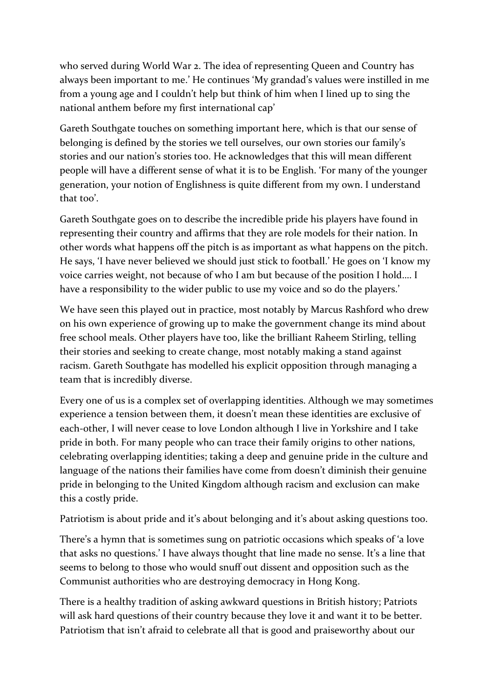who served during World War 2. The idea of representing Queen and Country has always been important to me.' He continues 'My grandad's values were instilled in me from a young age and I couldn't help but think of him when I lined up to sing the national anthem before my first international cap'

Gareth Southgate touches on something important here, which is that our sense of belonging is defined by the stories we tell ourselves, our own stories our family's stories and our nation's stories too. He acknowledges that this will mean different people will have a different sense of what it is to be English. 'For many of the younger generation, your notion of Englishness is quite different from my own. I understand that too'.

Gareth Southgate goes on to describe the incredible pride his players have found in representing their country and affirms that they are role models for their nation. In other words what happens off the pitch is as important as what happens on the pitch. He says, 'I have never believed we should just stick to football.' He goes on 'I know my voice carries weight, not because of who I am but because of the position I hold…. I have a responsibility to the wider public to use my voice and so do the players.'

We have seen this played out in practice, most notably by Marcus Rashford who drew on his own experience of growing up to make the government change its mind about free school meals. Other players have too, like the brilliant Raheem Stirling, telling their stories and seeking to create change, most notably making a stand against racism. Gareth Southgate has modelled his explicit opposition through managing a team that is incredibly diverse.

Every one of us is a complex set of overlapping identities. Although we may sometimes experience a tension between them, it doesn't mean these identities are exclusive of each-other, I will never cease to love London although I live in Yorkshire and I take pride in both. For many people who can trace their family origins to other nations, celebrating overlapping identities; taking a deep and genuine pride in the culture and language of the nations their families have come from doesn't diminish their genuine pride in belonging to the United Kingdom although racism and exclusion can make this a costly pride.

Patriotism is about pride and it's about belonging and it's about asking questions too.

There's a hymn that is sometimes sung on patriotic occasions which speaks of 'a love that asks no questions.' I have always thought that line made no sense. It's a line that seems to belong to those who would snuff out dissent and opposition such as the Communist authorities who are destroying democracy in Hong Kong.

There is a healthy tradition of asking awkward questions in British history; Patriots will ask hard questions of their country because they love it and want it to be better. Patriotism that isn't afraid to celebrate all that is good and praiseworthy about our